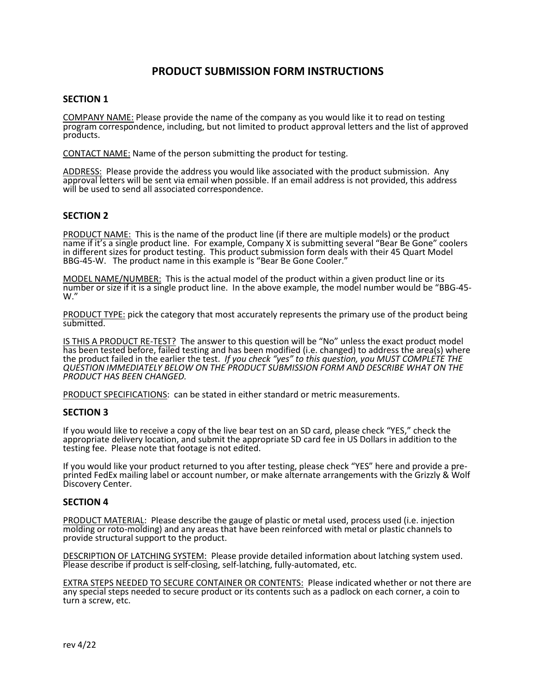# **PRODUCT SUBMISSION FORM INSTRUCTIONS**

### **SECTION 1**

COMPANY NAME: Please provide the name of the company as you would like it to read on testing program correspondence, including, but not limited to product approval letters and the list of approved products.

CONTACT NAME: Name of the person submitting the product for testing.

ADDRESS: Please provide the address you would like associated with the product submission. Any approval letters will be sent via email when possible. If an email address is not provided, this address will be used to send all associated correspondence.

## **SECTION 2**

PRODUCT NAME: This is the name of the product line (if there are multiple models) or the product name if it's a single product line. For example, Company X is submitting several "Bear Be Gone" coolers in different sizes for product testing. This product submission form deals with their 45 Quart Model BBG-45-W. The product name in this example is "Bear Be Gone Cooler."

MODEL NAME/NUMBER: This is the actual model of the product within a given product line or its number or size if it is a single product line. In the above example, the model number would be "BBG-45- W."

PRODUCT TYPE: pick the category that most accurately represents the primary use of the product being submitted.

IS THIS A PRODUCT RE-TEST? The answer to this question will be "No" unless the exact product model has been tested before, failed testing and has been modified (i.e. changed) to address the area(s) where the product failed in the earlier the test. *If you check "yes" to this question, you MUST COMPLETE THE QUESTION IMMEDIATELY BELOW ON THE PRODUCT SUBMISSION FORM AND DESCRIBE WHAT ON THE PRODUCT HAS BEEN CHANGED.*

PRODUCT SPECIFICATIONS: can be stated in either standard or metric measurements.

#### **SECTION 3**

If you would like to receive a copy of the live bear test on an SD card, please check "YES," check the appropriate delivery location, and submit the appropriate SD card fee in US Dollars in addition to the testing fee. Please note that footage is not edited.

If you would like your product returned to you after testing, please check "YES" here and provide a preprinted FedEx mailing label or account number, or make alternate arrangements with the Grizzly & Wolf Discovery Center.

#### **SECTION 4**

PRODUCT MATERIAL: Please describe the gauge of plastic or metal used, process used (i.e. injection molding or roto-molding) and any areas that have been reinforced with metal or plastic channels to provide structural support to the product.

DESCRIPTION OF LATCHING SYSTEM: Please provide detailed information about latching system used. Please describe if product is self-closing, self-latching, fully-automated, etc.

EXTRA STEPS NEEDED TO SECURE CONTAINER OR CONTENTS: Please indicated whether or not there are any special steps needed to secure product or its contents such as a padlock on each corner, a coin to turn a screw, etc.